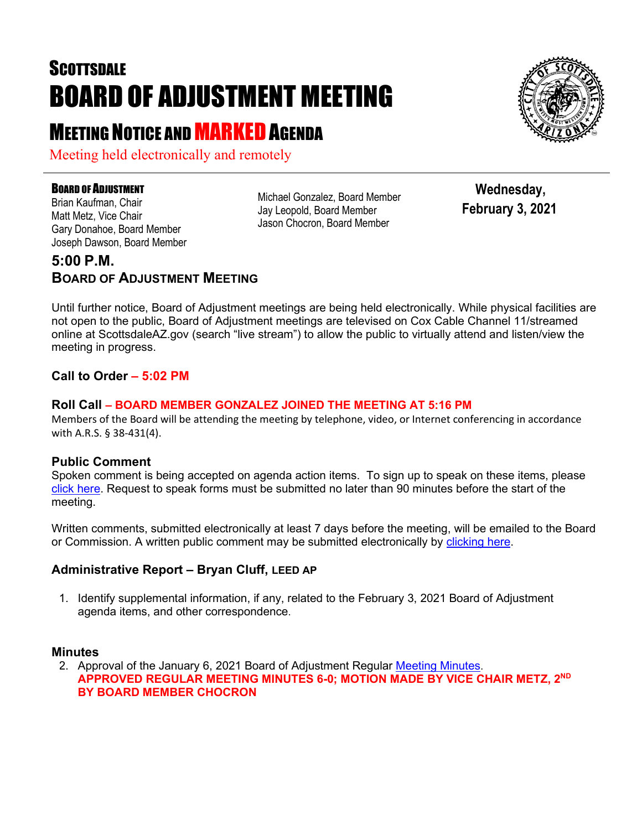# **SCOTTSDALE** BOARD OF ADJUSTMENT MEETING

## **MEETING NOTICE AND MARKED AGENDA**

Meeting held electronically and remotely

#### **BOARD OF ADJUSTMENT**

Brian Kaufman, Chair Matt Metz, Vice Chair Gary Donahoe, Board Member Joseph Dawson, Board Member Michael Gonzalez, Board Member Jay Leopold, Board Member Jason Chocron, Board Member

 **Wednesday, February 3, 2021**

### **5:00 P.M. BOARD OF ADJUSTMENT MEETING**

Until further notice, Board of Adjustment meetings are being held electronically. While physical facilities are not open to the public, Board of Adjustment meetings are televised on Cox Cable Channel 11/streamed online at ScottsdaleAZ.gov (search "live stream") to allow the public to virtually attend and listen/view the meeting in progress.

#### **Call to Order – 5:02 PM**

#### **Roll Call – BOARD MEMBER GONZALEZ JOINED THE MEETING AT 5:16 PM**

Members of the Board will be attending the meeting by telephone, video, or Internet conferencing in accordance with A.R.S. § 38-431(4).

#### **Public Comment**

Spoken comment is being accepted on agenda action items. To sign up to speak on these items, please [click here.](https://www.scottsdaleaz.gov/boards/board-of-adjustment/spoken-comment) Request to speak forms must be submitted no later than 90 minutes before the start of the meeting.

Written comments, submitted electronically at least 7 days before the meeting, will be emailed to the Board or Commission. A written public comment may be submitted electronically by [clicking here.](https://www.scottsdaleaz.gov/boards/board-of-adjustment/public-comment)

#### **Administrative Report – Bryan Cluff, LEED AP**

1. Identify supplemental information, if any, related to the February 3, 2021 Board of Adjustment agenda items, and other correspondence.

#### **Minutes**

2. Approval of the January 6, 2021 Board of Adjustment Regular [Meeting Minutes.](https://eservices.scottsdaleaz.gov/planning/projectsummary/unrelated_documents/BOA_MINUTES_01062021.pdf) **APPROVED REGULAR MEETING MINUTES 6-0; MOTION MADE BY VICE CHAIR METZ, 2ND BY BOARD MEMBER CHOCRON**

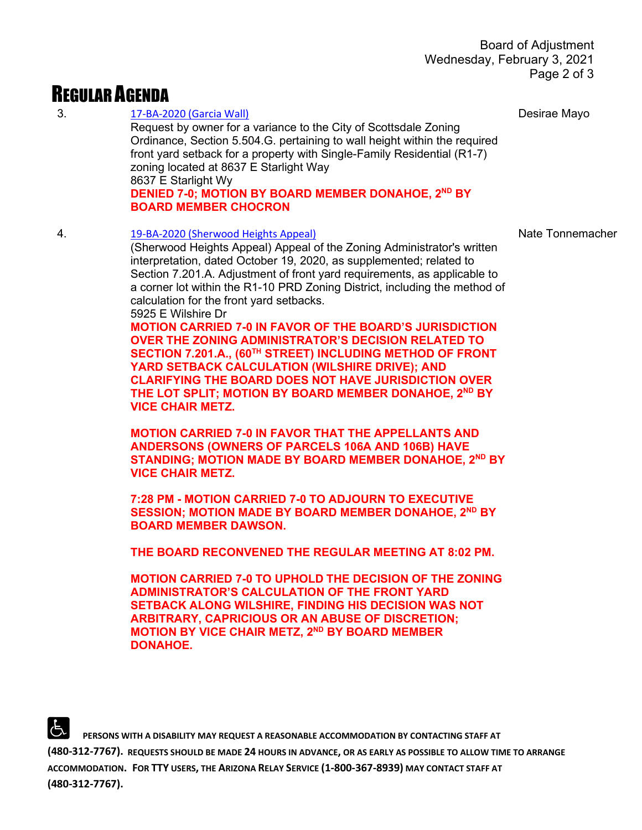### REGULAR AGENDA

3. [17-BA-2020 \(Garcia Wall\)](https://eservices.scottsdaleaz.gov/planning/projectsummary/ba_reports/BA_17_BA_2020.pdf) Request by owner for a variance to the City of Scottsdale Zoning Ordinance, Section 5.504.G. pertaining to wall height within the required front yard setback for a property with Single-Family Residential (R1-7) zoning located at 8637 E Starlight Way 8637 E Starlight Wy **DENIED 7-0; MOTION BY BOARD MEMBER DONAHOE, 2<sup>ND</sup> BY BOARD MEMBER CHOCRON** Desirae Mayo 4. [19-BA-2020 \(Sherwood Heights Appeal\)](https://eservices.scottsdaleaz.gov/planning/projectsummary/ba_reports/BA_19_BA_2020.pdf) (Sherwood Heights Appeal) Appeal of the Zoning Administrator's written interpretation, dated October 19, 2020, as supplemented; related to Section 7.201.A. Adjustment of front yard requirements, as applicable to a corner lot within the R1-10 PRD Zoning District, including the method of calculation for the front yard setbacks. 5925 E Wilshire Dr **MOTION CARRIED 7-0 IN FAVOR OF THE BOARD'S JURISDICTION OVER THE ZONING ADMINISTRATOR'S DECISION RELATED TO SECTION 7.201.A., (60TH STREET) INCLUDING METHOD OF FRONT YARD SETBACK CALCULATION (WILSHIRE DRIVE); AND CLARIFYING THE BOARD DOES NOT HAVE JURISDICTION OVER THE LOT SPLIT; MOTION BY BOARD MEMBER DONAHOE, 2ND BY VICE CHAIR METZ. MOTION CARRIED 7-0 IN FAVOR THAT THE APPELLANTS AND ANDERSONS (OWNERS OF PARCELS 106A AND 106B) HAVE STANDING; MOTION MADE BY BOARD MEMBER DONAHOE, 2ND BY VICE CHAIR METZ. 7:28 PM - MOTION CARRIED 7-0 TO ADJOURN TO EXECUTIVE SESSION; MOTION MADE BY BOARD MEMBER DONAHOE, 2ND BY BOARD MEMBER DAWSON. THE BOARD RECONVENED THE REGULAR MEETING AT 8:02 PM. MOTION CARRIED 7-0 TO UPHOLD THE DECISION OF THE ZONING ADMINISTRATOR'S CALCULATION OF THE FRONT YARD SETBACK ALONG WILSHIRE, FINDING HIS DECISION WAS NOT ARBITRARY, CAPRICIOUS OR AN ABUSE OF DISCRETION;**  Nate Tonnemacher

 **PERSONS WITH A DISABILITY MAY REQUEST A REASONABLE ACCOMMODATION BY CONTACTING STAFF AT (480-312-7767). REQUESTS SHOULD BE MADE 24 HOURS IN ADVANCE, OR AS EARLY AS POSSIBLE TO ALLOW TIME TO ARRANGE ACCOMMODATION. FOR TTY USERS, THE ARIZONA RELAY SERVICE (1-800-367-8939) MAY CONTACT STAFF AT (480-312-7767).** 

**MOTION BY VICE CHAIR METZ, 2ND BY BOARD MEMBER** 

**DONAHOE.**